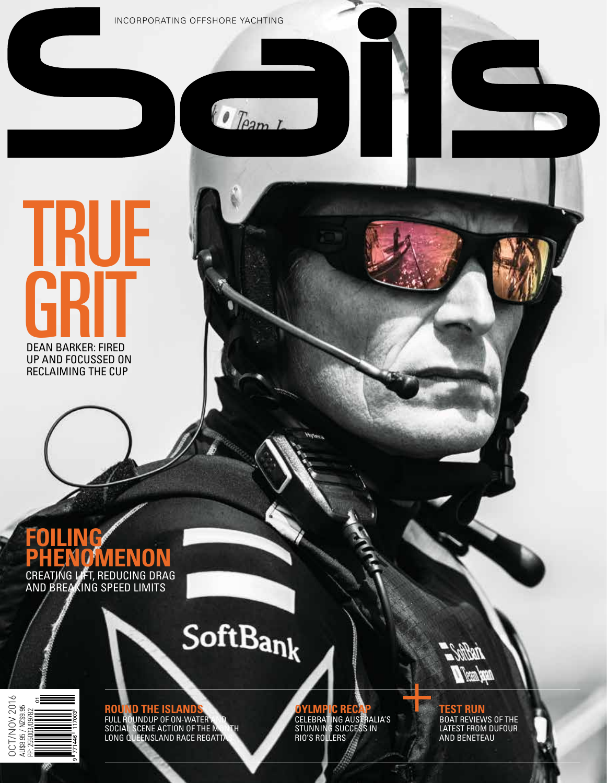INCORPORATING OFFSHORE YACHTING

 $\theta$  Team L

# **KIIF GRIT** DEAN BARKER: FIRED

UP AND FOCUSSED ON RECLAIMING THE CUP

## **FOILING PHENOMENON** CREATING LIFT, REDUCING DRAG

AND BREAKING SPEED LIMITS

**ROUND THE ISLANDS** FULL ROUNDUP OF ON-WATER AND SOCIAL SCENE ACTION OF THE MONTH LONG QUEENSLAND RACE REGATTAS



SoftBank

**OYLMPIC RECAP** CELEBRATING AUSTRALIA'S STUNNING SUCCESS IN RIO'S ROLLERS



**TEST RUN** BOAT REVIEWS OF THE LATEST FROM DUFOUR AND BENETEAU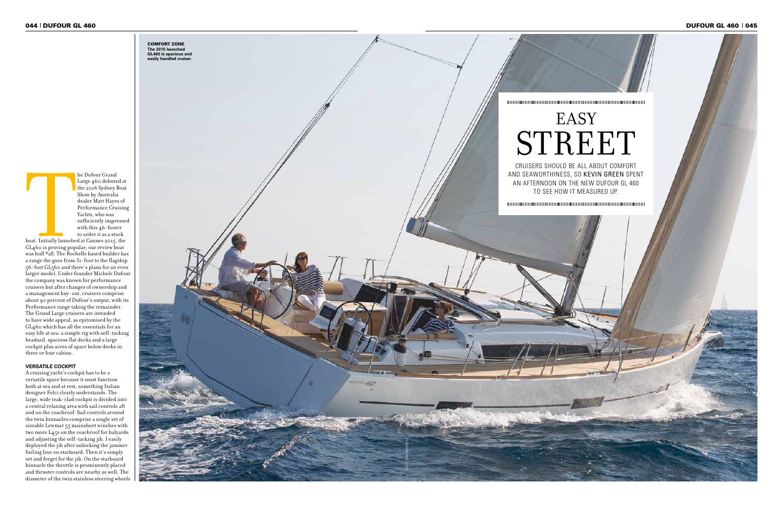GL460 is proving popular; our review boat was hull #28. The Rochelle based builder has a range the goes from 31-foot to the flagship  $56-\text{foot }GL_5^{\circ}$  coand there's plans for an even larger model. Under founder Michele Dufour the company was known for performance cruisers but after changes of ownership and a management buy-out, cruisers comprise about 90 percent of Dufour's output, with its Performance range taking the remainder. The Grand Large cruisers are intended to have wide appeal, as epitomised by the GL460 which has all the essentials for an easy life at sea: a simple rig with self-tacking headsail, spacious flat decks and a large cockpit plus acres of space below decks in three or four cabins.



### **VERSATILE COCKPIT**

A cruising yacht's cockpit has to be a versatile space because it must function both at sea and at rest, something Italian designer Felci clearly understands. The large, wide teak-clad cockpit is divided into a central relaxing area with sail controls aft and on the coachroof. Sail controls around the twin binnacles comprise a single set of sizeable Lewmar 55 mainsheet winches with two more L45s on the coachroof for halyards and adjusting the self-tacking jib. I easily deployed the jib after unlocking the jammer furling line on starboard. Then it's simply set and forget for the jib. On the starboard binnacle the throttle is prominently placed and thruster controls are nearby as well. The diameter of the twin stainless steering wheels